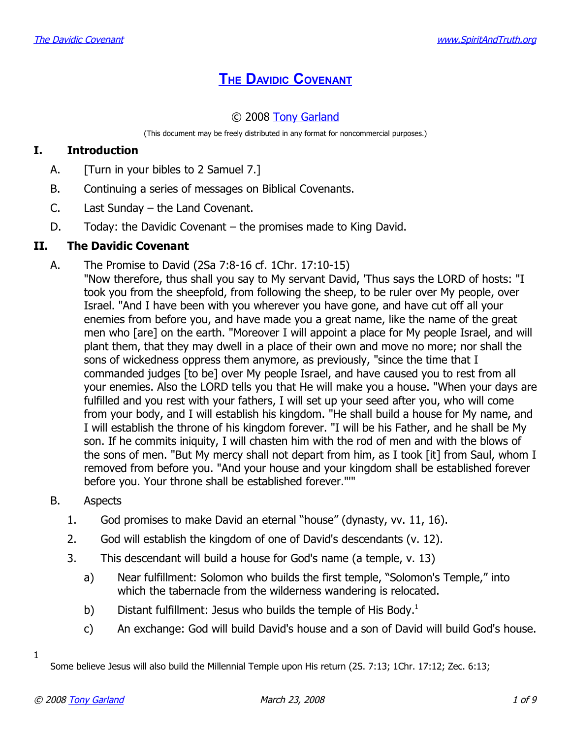# **THE DAVIDIC C[OVENANT](http://www.spiritandtruth.org/teaching/20.htm)**

# © 2008 [Tony Garland](http://www.spiritandtruth.org/id/tg.htm)

(This document may be freely distributed in any format for noncommercial purposes.)

# **I. Introduction**

- A. [Turn in your bibles to 2 Samuel 7.]
- B. Continuing a series of messages on Biblical Covenants.
- C. Last Sunday the Land Covenant.
- D. Today: the Davidic Covenant the promises made to King David.

#### **II. The Davidic Covenant**

A. The Promise to David (2Sa 7:8-16 cf. 1Chr. 17:10-15) "Now therefore, thus shall you say to My servant David, 'Thus says the LORD of hosts: "I took you from the sheepfold, from following the sheep, to be ruler over My people, over Israel. "And I have been with you wherever you have gone, and have cut off all your enemies from before you, and have made you a great name, like the name of the great men who [are] on the earth. "Moreover I will appoint a place for My people Israel, and will plant them, that they may dwell in a place of their own and move no more; nor shall the sons of wickedness oppress them anymore, as previously, "since the time that I commanded judges [to be] over My people Israel, and have caused you to rest from all your enemies. Also the LORD tells you that He will make you a house. "When your days are fulfilled and you rest with your fathers, I will set up your seed after you, who will come from your body, and I will establish his kingdom. "He shall build a house for My name, and I will establish the throne of his kingdom forever. "I will be his Father, and he shall be My son. If he commits iniquity, I will chasten him with the rod of men and with the blows of the sons of men. "But My mercy shall not depart from him, as I took [it] from Saul, whom I removed from before you. "And your house and your kingdom shall be established forever before you. Your throne shall be established forever."'"

# B. Aspects

- 1. God promises to make David an eternal "house" (dynasty, vv. 11, 16).
- 2. God will establish the kingdom of one of David's descendants (v. 12).
- 3. This descendant will build a house for God's name (a temple, v. 13)
	- a) Near fulfillment: Solomon who builds the first temple, "Solomon's Temple," into which the tabernacle from the wilderness wandering is relocated.
	- b) Distant fulfillment: Jesus who builds the temple of His Body. $<sup>1</sup>$  $<sup>1</sup>$  $<sup>1</sup>$ </sup>
	- c) An exchange: God will build David's house and a son of David will build God's house.

1

<span id="page-0-0"></span>Some believe Jesus will also build the Millennial Temple upon His return (2S. 7:13; 1Chr. 17:12; Zec. 6:13;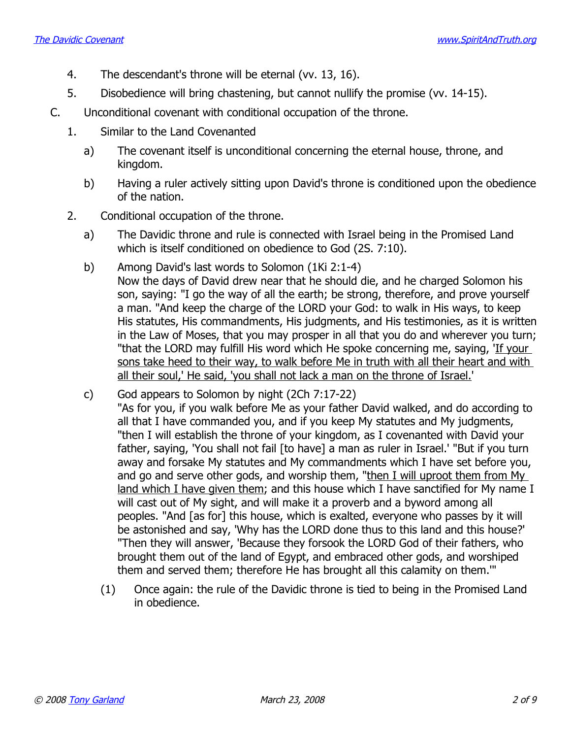- 4. The descendant's throne will be eternal (vv. 13, 16).
- 5. Disobedience will bring chastening, but cannot nullify the promise (vv. 14-15).
- C. Unconditional covenant with conditional occupation of the throne.
	- 1. Similar to the Land Covenanted
		- a) The covenant itself is unconditional concerning the eternal house, throne, and kingdom.
		- b) Having a ruler actively sitting upon David's throne is conditioned upon the obedience of the nation.
	- 2. Conditional occupation of the throne.
		- a) The Davidic throne and rule is connected with Israel being in the Promised Land which is itself conditioned on obedience to God (2S. 7:10).
		- b) Among David's last words to Solomon (1Ki 2:1-4) Now the days of David drew near that he should die, and he charged Solomon his son, saying: "I go the way of all the earth; be strong, therefore, and prove yourself a man. "And keep the charge of the LORD your God: to walk in His ways, to keep His statutes, His commandments, His judgments, and His testimonies, as it is written in the Law of Moses, that you may prosper in all that you do and wherever you turn; "that the LORD may fulfill His word which He spoke concerning me, saying, 'If your sons take heed to their way, to walk before Me in truth with all their heart and with all their soul,' He said, 'you shall not lack a man on the throne of Israel.'
		- c) God appears to Solomon by night (2Ch 7:17-22) "As for you, if you walk before Me as your father David walked, and do according to all that I have commanded you, and if you keep My statutes and My judgments, "then I will establish the throne of your kingdom, as I covenanted with David your father, saying, 'You shall not fail [to have] a man as ruler in Israel.' "But if you turn away and forsake My statutes and My commandments which I have set before you, and go and serve other gods, and worship them, "then I will uproot them from My land which I have given them; and this house which I have sanctified for My name I will cast out of My sight, and will make it a proverb and a byword among all peoples. "And [as for] this house, which is exalted, everyone who passes by it will be astonished and say, 'Why has the LORD done thus to this land and this house?' "Then they will answer, 'Because they forsook the LORD God of their fathers, who brought them out of the land of Egypt, and embraced other gods, and worshiped them and served them; therefore He has brought all this calamity on them.'"
			- (1) Once again: the rule of the Davidic throne is tied to being in the Promised Land in obedience.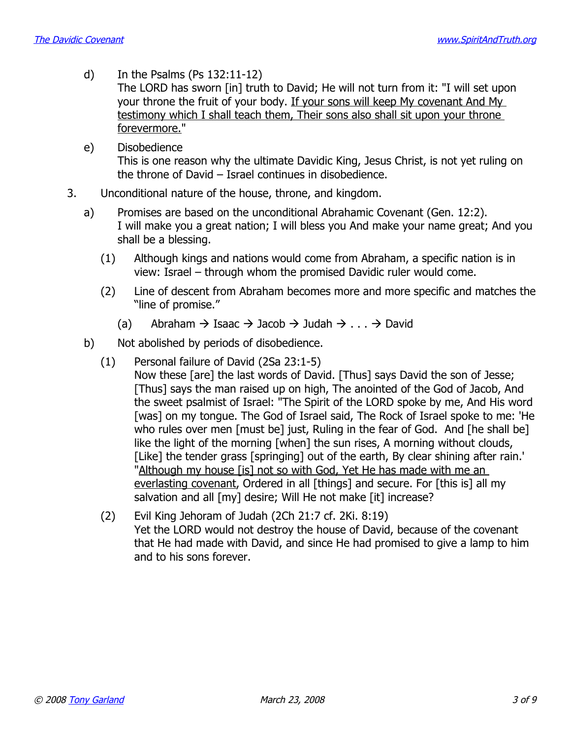d) In the Psalms (Ps 132:11-12)

The LORD has sworn [in] truth to David; He will not turn from it: "I will set upon your throne the fruit of your body. If your sons will keep My covenant And My testimony which I shall teach them, Their sons also shall sit upon your throne forevermore."

- e) Disobedience This is one reason why the ultimate Davidic King, Jesus Christ, is not yet ruling on the throne of David – Israel continues in disobedience.
- 3. Unconditional nature of the house, throne, and kingdom.
	- a) Promises are based on the unconditional Abrahamic Covenant (Gen. 12:2). I will make you a great nation; I will bless you And make your name great; And you shall be a blessing.
		- (1) Although kings and nations would come from Abraham, a specific nation is in view: Israel – through whom the promised Davidic ruler would come.
		- (2) Line of descent from Abraham becomes more and more specific and matches the "line of promise."
			- (a) Abraham  $\rightarrow$  Isaac  $\rightarrow$  Jacob  $\rightarrow$  Judah  $\rightarrow$  ...  $\rightarrow$  David
	- b) Not abolished by periods of disobedience.
		- (1) Personal failure of David (2Sa 23:1-5) Now these [are] the last words of David. [Thus] says David the son of Jesse; [Thus] says the man raised up on high, The anointed of the God of Jacob, And the sweet psalmist of Israel: "The Spirit of the LORD spoke by me, And His word [was] on my tongue. The God of Israel said, The Rock of Israel spoke to me: 'He who rules over men [must be] just, Ruling in the fear of God. And [he shall be] like the light of the morning [when] the sun rises, A morning without clouds, [Like] the tender grass [springing] out of the earth, By clear shining after rain.' "Although my house [is] not so with God, Yet He has made with me an everlasting covenant, Ordered in all [things] and secure. For [this is] all my salvation and all [my] desire; Will He not make [it] increase?
		- (2) Evil King Jehoram of Judah (2Ch 21:7 cf. 2Ki. 8:19) Yet the LORD would not destroy the house of David, because of the covenant that He had made with David, and since He had promised to give a lamp to him and to his sons forever.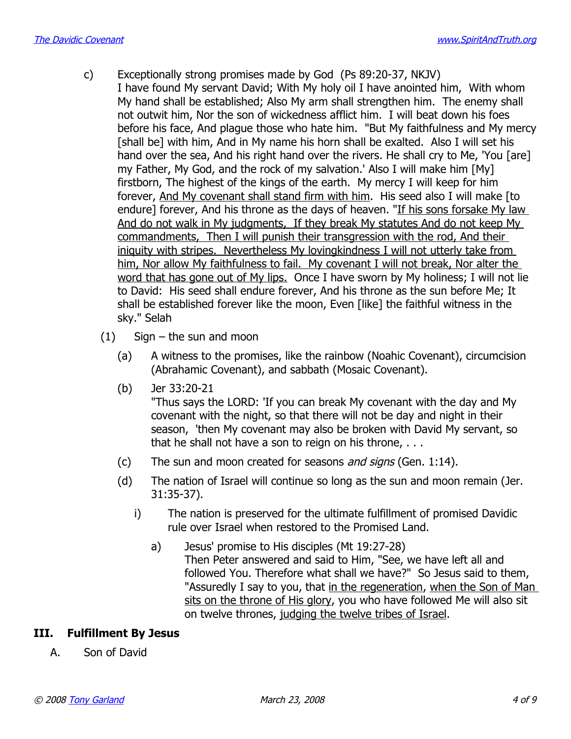- c) Exceptionally strong promises made by God (Ps 89:20-37, NKJV) I have found My servant David; With My holy oil I have anointed him, With whom My hand shall be established; Also My arm shall strengthen him. The enemy shall not outwit him, Nor the son of wickedness afflict him. I will beat down his foes before his face, And plague those who hate him. "But My faithfulness and My mercy [shall be] with him, And in My name his horn shall be exalted. Also I will set his hand over the sea, And his right hand over the rivers. He shall cry to Me, 'You [are] my Father, My God, and the rock of my salvation.' Also I will make him [My] firstborn, The highest of the kings of the earth. My mercy I will keep for him forever, And My covenant shall stand firm with him. His seed also I will make [to endure] forever, And his throne as the days of heaven. "If his sons forsake My law And do not walk in My judgments, If they break My statutes And do not keep My commandments, Then I will punish their transgression with the rod, And their iniquity with stripes. Nevertheless My lovingkindness I will not utterly take from him, Nor allow My faithfulness to fail. My covenant I will not break, Nor alter the word that has gone out of My lips. Once I have sworn by My holiness; I will not lie to David: His seed shall endure forever, And his throne as the sun before Me; It shall be established forever like the moon, Even [like] the faithful witness in the sky." Selah
	- (1) Sign the sun and moon
		- (a) A witness to the promises, like the rainbow (Noahic Covenant), circumcision (Abrahamic Covenant), and sabbath (Mosaic Covenant).
		- (b) Jer 33:20-21

"Thus says the LORD: 'If you can break My covenant with the day and My covenant with the night, so that there will not be day and night in their season, 'then My covenant may also be broken with David My servant, so that he shall not have a son to reign on his throne, . . .

- (c) The sun and moon created for seasons and signs (Gen.  $1:14$ ).
- (d) The nation of Israel will continue so long as the sun and moon remain (Jer. 31:35-37).
	- i) The nation is preserved for the ultimate fulfillment of promised Davidic rule over Israel when restored to the Promised Land.
		- a) Jesus' promise to His disciples (Mt 19:27-28) Then Peter answered and said to Him, "See, we have left all and followed You. Therefore what shall we have?" So Jesus said to them, "Assuredly I say to you, that in the regeneration, when the Son of Man sits on the throne of His glory, you who have followed Me will also sit on twelve thrones, judging the twelve tribes of Israel.

# **III. Fulfillment By Jesus**

A. Son of David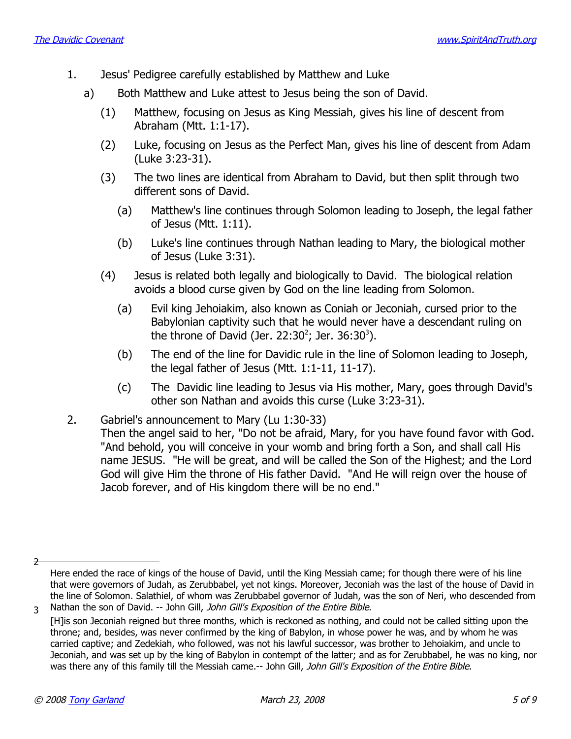- 1. Jesus' Pedigree carefully established by Matthew and Luke
	- a) Both Matthew and Luke attest to Jesus being the son of David.
		- (1) Matthew, focusing on Jesus as King Messiah, gives his line of descent from Abraham (Mtt. 1:1-17).
		- (2) Luke, focusing on Jesus as the Perfect Man, gives his line of descent from Adam (Luke 3:23-31).
		- (3) The two lines are identical from Abraham to David, but then split through two different sons of David.
			- (a) Matthew's line continues through Solomon leading to Joseph, the legal father of Jesus (Mtt. 1:11).
			- (b) Luke's line continues through Nathan leading to Mary, the biological mother of Jesus (Luke 3:31).
		- (4) Jesus is related both legally and biologically to David. The biological relation avoids a blood curse given by God on the line leading from Solomon.
			- (a) Evil king Jehoiakim, also known as Coniah or Jeconiah, cursed prior to the Babylonian captivity such that he would never have a descendant ruling on the throne of David (Jer. [2](#page-4-0)2:[3](#page-4-1)0<sup>2</sup>; Jer. 36:30<sup>3</sup>).
			- (b) The end of the line for Davidic rule in the line of Solomon leading to Joseph, the legal father of Jesus (Mtt. 1:1-11, 11-17).
			- (c) The Davidic line leading to Jesus via His mother, Mary, goes through David's other son Nathan and avoids this curse (Luke 3:23-31).
- 2. Gabriel's announcement to Mary (Lu 1:30-33)

Then the angel said to her, "Do not be afraid, Mary, for you have found favor with God. "And behold, you will conceive in your womb and bring forth a Son, and shall call His name JESUS. "He will be great, and will be called the Son of the Highest; and the Lord God will give Him the throne of His father David. "And He will reign over the house of Jacob forever, and of His kingdom there will be no end."

<sup>2</sup>

<span id="page-4-0"></span>Here ended the race of kings of the house of David, until the King Messiah came; for though there were of his line that were governors of Judah, as Zerubbabel, yet not kings. Moreover, Jeconiah was the last of the house of David in the line of Solomon. Salathiel, of whom was Zerubbabel governor of Judah, was the son of Neri, who descended from 3 Nathan the son of David. -- John Gill, John Gill's Exposition of the Entire Bible.

<span id="page-4-1"></span><sup>[</sup>H]is son Jeconiah reigned but three months, which is reckoned as nothing, and could not be called sitting upon the throne; and, besides, was never confirmed by the king of Babylon, in whose power he was, and by whom he was carried captive; and Zedekiah, who followed, was not his lawful successor, was brother to Jehoiakim, and uncle to Jeconiah, and was set up by the king of Babylon in contempt of the latter; and as for Zerubbabel, he was no king, nor was there any of this family till the Messiah came.-- John Gill, John Gill's Exposition of the Entire Bible.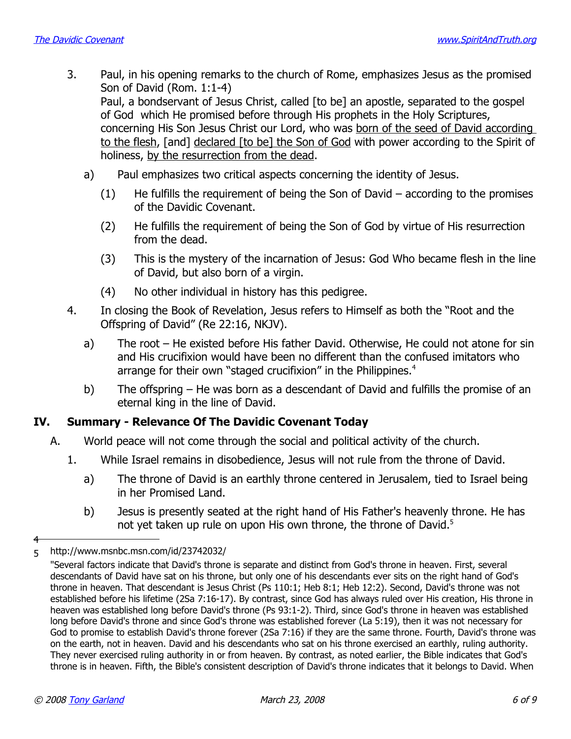- 3. Paul, in his opening remarks to the church of Rome, emphasizes Jesus as the promised Son of David (Rom. 1:1-4) Paul, a bondservant of Jesus Christ, called [to be] an apostle, separated to the gospel of God which He promised before through His prophets in the Holy Scriptures, concerning His Son Jesus Christ our Lord, who was born of the seed of David according to the flesh, [and] declared [to be] the Son of God with power according to the Spirit of holiness, by the resurrection from the dead.
	- a) Paul emphasizes two critical aspects concerning the identity of Jesus.
		- $(1)$  He fulfills the requirement of being the Son of David according to the promises of the Davidic Covenant.
		- (2) He fulfills the requirement of being the Son of God by virtue of His resurrection from the dead.
		- (3) This is the mystery of the incarnation of Jesus: God Who became flesh in the line of David, but also born of a virgin.
		- (4) No other individual in history has this pedigree.
- 4. In closing the Book of Revelation, Jesus refers to Himself as both the "Root and the Offspring of David" (Re 22:16, NKJV).
	- a) The root He existed before His father David. Otherwise, He could not atone for sin and His crucifixion would have been no different than the confused imitators who arrange for their own "staged crucifixion" in the Philippines.<sup>[4](#page-5-0)</sup>
	- b) The offspring He was born as a descendant of David and fulfills the promise of an eternal king in the line of David.

#### **IV. Summary - Relevance Of The Davidic Covenant Today**

- A. World peace will not come through the social and political activity of the church.
	- 1. While Israel remains in disobedience, Jesus will not rule from the throne of David.
		- a) The throne of David is an earthly throne centered in Jerusalem, tied to Israel being in her Promised Land.
		- b) Jesus is presently seated at the right hand of His Father's heavenly throne. He has not yet taken up rule on upon His own throne, the throne of David. $5$

4

http://www.msnbc.msn.com/id/23742032/ 5

<span id="page-5-1"></span><span id="page-5-0"></span><sup>&</sup>quot;Several factors indicate that David's throne is separate and distinct from God's throne in heaven. First, several descendants of David have sat on his throne, but only one of his descendants ever sits on the right hand of God's throne in heaven. That descendant is Jesus Christ (Ps 110:1; Heb 8:1; Heb 12:2). Second, David's throne was not established before his lifetime (2Sa 7:16-17). By contrast, since God has always ruled over His creation, His throne in heaven was established long before David's throne (Ps 93:1-2). Third, since God's throne in heaven was established long before David's throne and since God's throne was established forever (La 5:19), then it was not necessary for God to promise to establish David's throne forever (2Sa 7:16) if they are the same throne. Fourth, David's throne was on the earth, not in heaven. David and his descendants who sat on his throne exercised an earthly, ruling authority. They never exercised ruling authority in or from heaven. By contrast, as noted earlier, the Bible indicates that God's throne is in heaven. Fifth, the Bible's consistent description of David's throne indicates that it belongs to David. When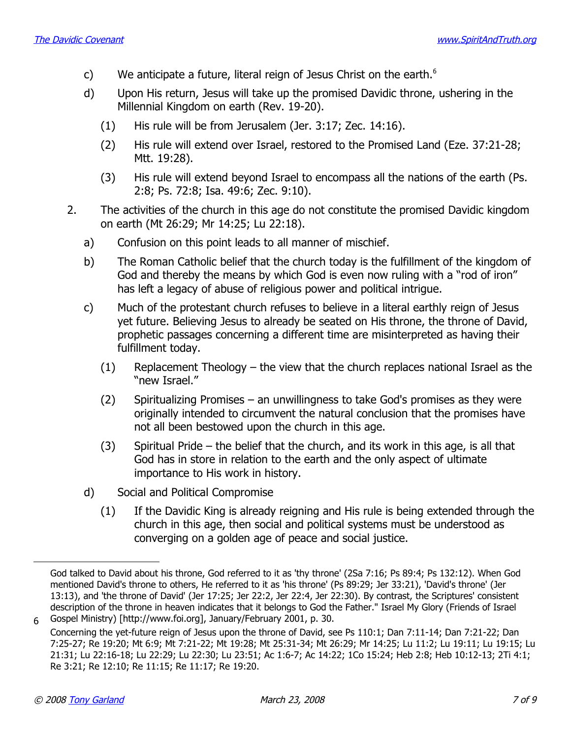- c) We anticipate a future, literal reign of Jesus Christ on the earth. $<sup>6</sup>$  $<sup>6</sup>$  $<sup>6</sup>$ </sup>
- d) Upon His return, Jesus will take up the promised Davidic throne, ushering in the Millennial Kingdom on earth (Rev. 19-20).
	- (1) His rule will be from Jerusalem (Jer. 3:17; Zec. 14:16).
	- (2) His rule will extend over Israel, restored to the Promised Land (Eze. 37:21-28; Mtt. 19:28).
	- (3) His rule will extend beyond Israel to encompass all the nations of the earth (Ps. 2:8; Ps. 72:8; Isa. 49:6; Zec. 9:10).
- 2. The activities of the church in this age do not constitute the promised Davidic kingdom on earth (Mt 26:29; Mr 14:25; Lu 22:18).
	- a) Confusion on this point leads to all manner of mischief.
	- b) The Roman Catholic belief that the church today is the fulfillment of the kingdom of God and thereby the means by which God is even now ruling with a "rod of iron" has left a legacy of abuse of religious power and political intrigue.
	- c) Much of the protestant church refuses to believe in a literal earthly reign of Jesus yet future. Believing Jesus to already be seated on His throne, the throne of David, prophetic passages concerning a different time are misinterpreted as having their fulfillment today.
		- (1) Replacement Theology the view that the church replaces national Israel as the "new Israel."
		- (2) Spiritualizing Promises an unwillingness to take God's promises as they were originally intended to circumvent the natural conclusion that the promises have not all been bestowed upon the church in this age.
		- (3) Spiritual Pride the belief that the church, and its work in this age, is all that God has in store in relation to the earth and the only aspect of ultimate importance to His work in history.
	- d) Social and Political Compromise
		- (1) If the Davidic King is already reigning and His rule is being extended through the church in this age, then social and political systems must be understood as converging on a golden age of peace and social justice.

God talked to David about his throne, God referred to it as 'thy throne' (2Sa 7:16; Ps 89:4; Ps 132:12). When God mentioned David's throne to others, He referred to it as 'his throne' (Ps 89:29; Jer 33:21), 'David's throne' (Jer 13:13), and 'the throne of David' (Jer 17:25; Jer 22:2, Jer 22:4, Jer 22:30). By contrast, the Scriptures' consistent description of the throne in heaven indicates that it belongs to God the Father." Israel My Glory (Friends of Israel Gospel Ministry) [http://www.foi.org], January/February 2001, p. 30. 6

<span id="page-6-0"></span>Concerning the yet-future reign of Jesus upon the throne of David, see Ps 110:1; Dan 7:11-14; Dan 7:21-22; Dan 7:25-27; Re 19:20; Mt 6:9; Mt 7:21-22; Mt 19:28; Mt 25:31-34; Mt 26:29; Mr 14:25; Lu 11:2; Lu 19:11; Lu 19:15; Lu 21:31; Lu 22:16-18; Lu 22:29; Lu 22:30; Lu 23:51; Ac 1:6-7; Ac 14:22; 1Co 15:24; Heb 2:8; Heb 10:12-13; 2Ti 4:1; Re 3:21; Re 12:10; Re 11:15; Re 11:17; Re 19:20.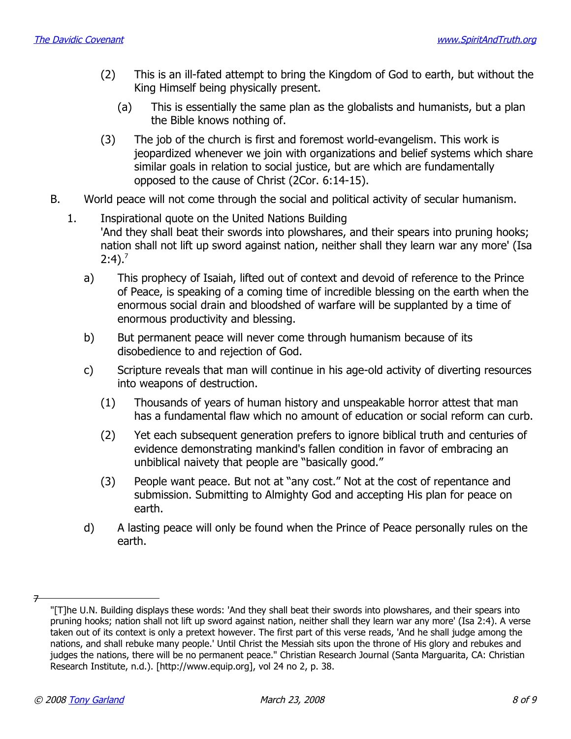- (2) This is an ill-fated attempt to bring the Kingdom of God to earth, but without the King Himself being physically present.
	- (a) This is essentially the same plan as the globalists and humanists, but a plan the Bible knows nothing of.
- (3) The job of the church is first and foremost world-evangelism. This work is jeopardized whenever we join with organizations and belief systems which share similar goals in relation to social justice, but are which are fundamentally opposed to the cause of Christ (2Cor. 6:14-15).
- B. World peace will not come through the social and political activity of secular humanism.
	- 1. Inspirational quote on the United Nations Building 'And they shall beat their swords into plowshares, and their spears into pruning hooks; nation shall not lift up sword against nation, neither shall they learn war any more' (Isa  $2:4$ ).<sup>[7](#page-7-0)</sup>
		- a) This prophecy of Isaiah, lifted out of context and devoid of reference to the Prince of Peace, is speaking of a coming time of incredible blessing on the earth when the enormous social drain and bloodshed of warfare will be supplanted by a time of enormous productivity and blessing.
		- b) But permanent peace will never come through humanism because of its disobedience to and rejection of God.
		- c) Scripture reveals that man will continue in his age-old activity of diverting resources into weapons of destruction.
			- (1) Thousands of years of human history and unspeakable horror attest that man has a fundamental flaw which no amount of education or social reform can curb.
			- (2) Yet each subsequent generation prefers to ignore biblical truth and centuries of evidence demonstrating mankind's fallen condition in favor of embracing an unbiblical naivety that people are "basically good."
			- (3) People want peace. But not at "any cost." Not at the cost of repentance and submission. Submitting to Almighty God and accepting His plan for peace on earth.
		- d) A lasting peace will only be found when the Prince of Peace personally rules on the earth.

<sup>7</sup>

<span id="page-7-0"></span><sup>&</sup>quot;[T]he U.N. Building displays these words: 'And they shall beat their swords into plowshares, and their spears into pruning hooks; nation shall not lift up sword against nation, neither shall they learn war any more' (Isa 2:4). A verse taken out of its context is only a pretext however. The first part of this verse reads, 'And he shall judge among the nations, and shall rebuke many people.' Until Christ the Messiah sits upon the throne of His glory and rebukes and judges the nations, there will be no permanent peace." Christian Research Journal (Santa Marguarita, CA: Christian Research Institute, n.d.). [http://www.equip.org], vol 24 no 2, p. 38.